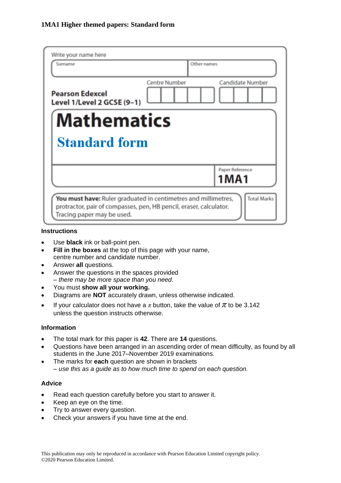| Write your name here<br>Surname                                                                  | Other names                                                                          |  |  |  |  |
|--------------------------------------------------------------------------------------------------|--------------------------------------------------------------------------------------|--|--|--|--|
| <b>Pearson Edexcel</b><br>Level 1/Level 2 GCSE (9-1)                                             | <b>Candidate Number</b><br><b>Centre Number</b>                                      |  |  |  |  |
| <b>Mathematics</b><br><b>Standard form</b>                                                       |                                                                                      |  |  |  |  |
|                                                                                                  | Paper Reference<br>1MA1                                                              |  |  |  |  |
| protractor, pair of compasses, pen, HB pencil, eraser, calculator.<br>Tracing paper may be used. | <b>Total Marks</b><br>You must have: Ruler graduated in centimetres and millimetres, |  |  |  |  |

### **Instructions**

- Use **black** ink or ball-point pen.
- **Fill in the boxes** at the top of this page with your name, centre number and candidate number.
- Answer **all** questions.
- Answer the questions in the spaces provided *– there may be more space than you need.*
- You must **show all your working.**
- Diagrams are **NOT** accurately drawn, unless otherwise indicated.
- If your calculator does not have a  $\pi$  button, take the value of  $\pi$  to be 3.142 unless the question instructs otherwise.

### **Information**

- The total mark for this paper is **42**. There are **14** questions.
- Questions have been arranged in an ascending order of mean difficulty, as found by all students in the June 2017–November 2019 examinations.
- The marks for **each** question are shown in brackets *– use this as a guide as to how much time to spend on each question.*

### **Advice**

- Read each question carefully before you start to answer it.
- Keep an eye on the time.
- Try to answer every question.
- Check your answers if you have time at the end.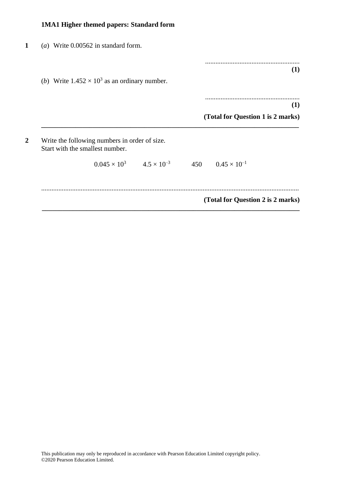| (a) Write $0.00562$ in standard form.                                            |                                          |                                   |     |
|----------------------------------------------------------------------------------|------------------------------------------|-----------------------------------|-----|
|                                                                                  |                                          |                                   | (1) |
| ( <i>b</i> ) Write $1.452 \times 10^3$ as an ordinary number.                    |                                          |                                   |     |
|                                                                                  |                                          |                                   | (1) |
|                                                                                  |                                          | (Total for Question 1 is 2 marks) |     |
| Write the following numbers in order of size.<br>Start with the smallest number. |                                          |                                   |     |
|                                                                                  | $0.045 \times 10^3$ $4.5 \times 10^{-3}$ | 450 $0.45 \times 10^{-1}$         |     |
|                                                                                  |                                          |                                   |     |
|                                                                                  |                                          | (Total for Question 2 is 2 marks) |     |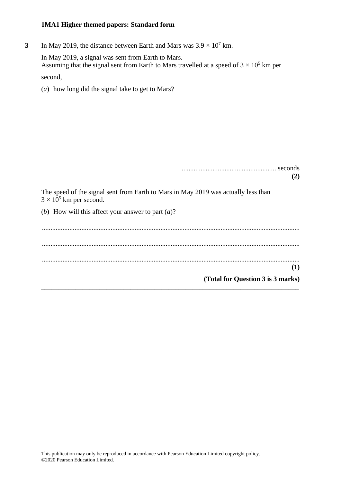**3** In May 2019, the distance between Earth and Mars was  $3.9 \times 10^7$  km.

In May 2019, a signal was sent from Earth to Mars. Assuming that the signal sent from Earth to Mars travelled at a speed of  $3 \times 10^5$  km per second,

(*a*) how long did the signal take to get to Mars?

....................................................... seconds **(2)** The speed of the signal sent from Earth to Mars in May 2019 was actually less than  $3 \times 10^5$  km per second. (*b*) How will this affect your answer to part (*a*)? ...................................................................................................................................................... ...................................................................................................................................................... ...................................................................................................................................................... **(1) (Total for Question 3 is 3 marks) \_\_\_\_\_\_\_\_\_\_\_\_\_\_\_\_\_\_\_\_\_\_\_\_\_\_\_\_\_\_\_\_\_\_\_\_\_\_\_\_\_\_\_\_\_\_\_\_\_\_\_\_\_\_\_\_\_\_\_\_\_\_\_\_\_\_\_\_\_\_\_\_\_\_\_**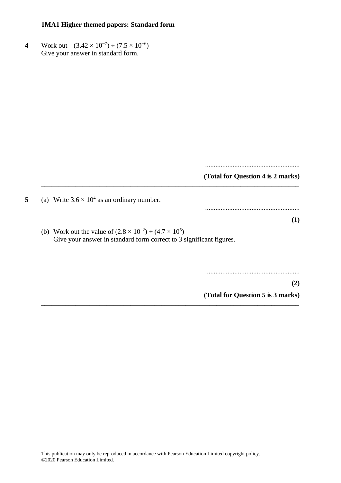4 Work out  $(3.42 \times 10^{-7}) \div (7.5 \times 10^{-6})$ Give your answer in standard form.

.......................................................

### **(Total for Question 4 is 2 marks)**

.......................................................

5 (a) Write  $3.6 \times 10^4$  as an ordinary number.

(b) Work out the value of  $(2.8 \times 10^{-2}) \div (4.7 \times 10^{5})$ Give your answer in standard form correct to 3 significant figures.

**\_\_\_\_\_\_\_\_\_\_\_\_\_\_\_\_\_\_\_\_\_\_\_\_\_\_\_\_\_\_\_\_\_\_\_\_\_\_\_\_\_\_\_\_\_\_\_\_\_\_\_\_\_\_\_\_\_\_\_\_\_\_\_\_\_\_\_\_\_\_\_\_\_\_\_**

**\_\_\_\_\_\_\_\_\_\_\_\_\_\_\_\_\_\_\_\_\_\_\_\_\_\_\_\_\_\_\_\_\_\_\_\_\_\_\_\_\_\_\_\_\_\_\_\_\_\_\_\_\_\_\_\_\_\_\_\_\_\_\_\_\_\_\_\_\_\_\_\_\_\_\_**

.......................................................

**(2)**

**(1)**

**(Total for Question 5 is 3 marks)**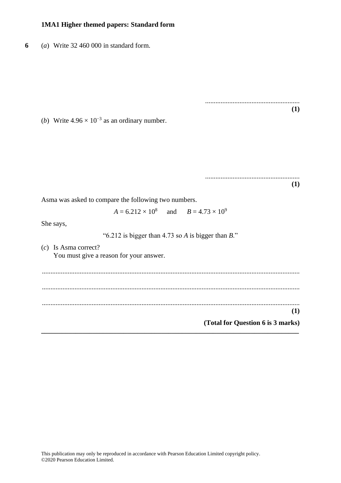**6** (*a*) Write 32 460 000 in standard form.

....................................................... **(1)**

(*b*) Write  $4.96 \times 10^{-3}$  as an ordinary number.

....................................................... **(1)**

Asma was asked to compare the following two numbers.

 $A = 6.212 \times 10^8$ and  $B = 4.73 \times 10^9$ 

She says,

"6.212 is bigger than 4.73 so *A* is bigger than *B*."

(*c*) Is Asma correct? You must give a reason for your answer.

...................................................................................................................................................... ...................................................................................................................................................... ...................................................................................................................................................... **(1) (Total for Question 6 is 3 marks) \_\_\_\_\_\_\_\_\_\_\_\_\_\_\_\_\_\_\_\_\_\_\_\_\_\_\_\_\_\_\_\_\_\_\_\_\_\_\_\_\_\_\_\_\_\_\_\_\_\_\_\_\_\_\_\_\_\_\_\_\_\_\_\_\_\_\_\_\_\_\_\_\_\_\_**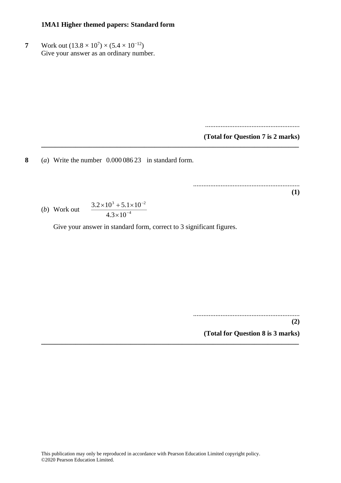**7** Work out  $(13.8 \times 10^7) \times (5.4 \times 10^{-12})$ Give your answer as an ordinary number.

.......................................................

**(Total for Question 7 is 2 marks)**

**8** (*a*) Write the number 0.000 086 23 in standard form.

.............................................................. **(1)**

(b) Work out 
$$
\frac{3.2 \times 10^{3} + 5.1 \times 10^{-2}}{4.3 \times 10^{-4}}
$$

Give your answer in standard form, correct to 3 significant figures.

**\_\_\_\_\_\_\_\_\_\_\_\_\_\_\_\_\_\_\_\_\_\_\_\_\_\_\_\_\_\_\_\_\_\_\_\_\_\_\_\_\_\_\_\_\_\_\_\_\_\_\_\_\_\_\_\_\_\_\_\_\_\_\_\_\_\_\_\_\_\_\_\_\_\_\_**

**\_\_\_\_\_\_\_\_\_\_\_\_\_\_\_\_\_\_\_\_\_\_\_\_\_\_\_\_\_\_\_\_\_\_\_\_\_\_\_\_\_\_\_\_\_\_\_\_\_\_\_\_\_\_\_\_\_\_\_\_\_\_\_\_\_\_\_\_\_\_\_\_\_\_\_**

.............................................................. **(2)**

**(Total for Question 8 is 3 marks)**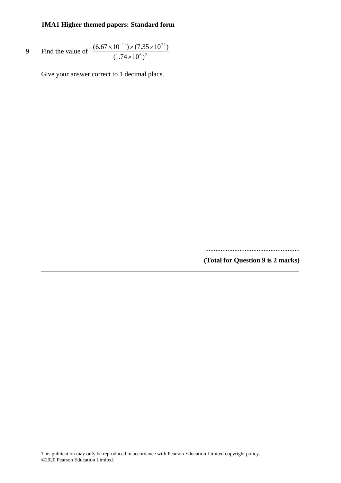9 Find the value of 
$$
\frac{(6.67 \times 10^{-11}) \times (7.35 \times 10^{22})}{(1.74 \times 10^6)^2}
$$

Give your answer correct to 1 decimal place.

.......................................................

**(Total for Question 9 is 2 marks)**

**\_\_\_\_\_\_\_\_\_\_\_\_\_\_\_\_\_\_\_\_\_\_\_\_\_\_\_\_\_\_\_\_\_\_\_\_\_\_\_\_\_\_\_\_\_\_\_\_\_\_\_\_\_\_\_\_\_\_\_\_\_\_\_\_\_\_\_\_\_\_\_\_\_\_\_**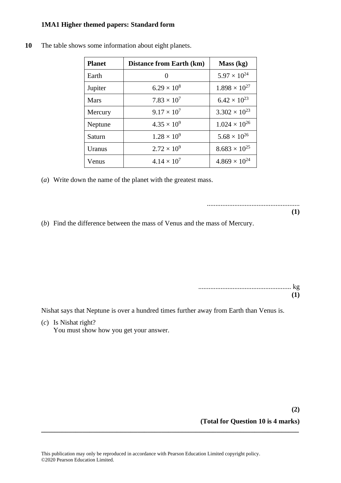| <b>Planet</b> | <b>Distance from Earth (km)</b> | Mass (kg)              |
|---------------|---------------------------------|------------------------|
| Earth         |                                 | $5.97 \times 10^{24}$  |
| Jupiter       | $6.29 \times 10^{8}$            | $1.898 \times 10^{27}$ |
| Mars          | $7.83 \times 10^{7}$            | $6.42 \times 10^{23}$  |
| Mercury       | $9.17 \times 10^{7}$            | $3.302 \times 10^{23}$ |
| Neptune       | $4.35 \times 10^{9}$            | $1.024 \times 10^{26}$ |
| Saturn        | $1.28 \times 10^{9}$            | $5.68 \times 10^{26}$  |
| Uranus        | $2.72 \times 10^{9}$            | $8.683 \times 10^{25}$ |
| Venus         | $4.14 \times 10^{7}$            | $4.869 \times 10^{24}$ |

**10** The table shows some information about eight planets.

(*a*) Write down the name of the planet with the greatest mass.

......................................................

**(1)**

(*b*) Find the difference between the mass of Venus and the mass of Mercury.

| 71) |
|-----|

Nishat says that Neptune is over a hundred times further away from Earth than Venus is.

(*c*) Is Nishat right?

You must show how you get your answer.

# **(Total for Question 10 is 4 marks)**

**\_\_\_\_\_\_\_\_\_\_\_\_\_\_\_\_\_\_\_\_\_\_\_\_\_\_\_\_\_\_\_\_\_\_\_\_\_\_\_\_\_\_\_\_\_\_\_\_\_\_\_\_\_\_\_\_\_\_\_\_\_\_\_\_\_\_\_\_\_\_\_\_\_\_\_**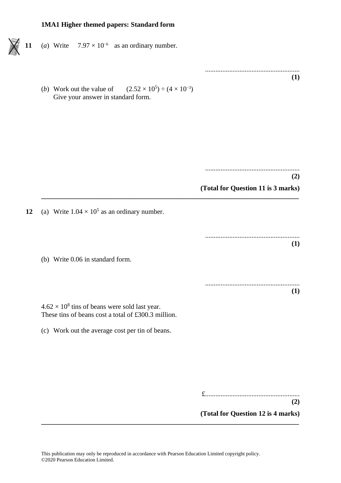- 11 (*a*) Write  $7.97 \times 10^{-6}$  as an ordinary number.
	- (*b*) Work out the value of  $) \div (4 \times 10^{-3})$ Give your answer in standard form.

....................................................... **(Total for Question 11 is 3 marks) \_\_\_\_\_\_\_\_\_\_\_\_\_\_\_\_\_\_\_\_\_\_\_\_\_\_\_\_\_\_\_\_\_\_\_\_\_\_\_\_\_\_\_\_\_\_\_\_\_\_\_\_\_\_\_\_\_\_\_\_\_\_\_\_\_\_\_\_\_\_\_\_\_\_\_** 12 (a) Write  $1.04 \times 10^5$  as an ordinary number. ....................................................... **(1)** (b) Write 0.06 in standard form. ....................................................... **(1)**  $4.62 \times 10^8$  tins of beans were sold last year. These tins of beans cost a total of £300.3 million. (c) Work out the average cost per tin of beans. £.......................................................

**(Total for Question 12 is 4 marks) \_\_\_\_\_\_\_\_\_\_\_\_\_\_\_\_\_\_\_\_\_\_\_\_\_\_\_\_\_\_\_\_\_\_\_\_\_\_\_\_\_\_\_\_\_\_\_\_\_\_\_\_\_\_\_\_\_\_\_\_\_\_\_\_\_\_\_\_\_\_\_\_\_\_\_**

.......................................................

**(1)**

**(2)**

**(2)**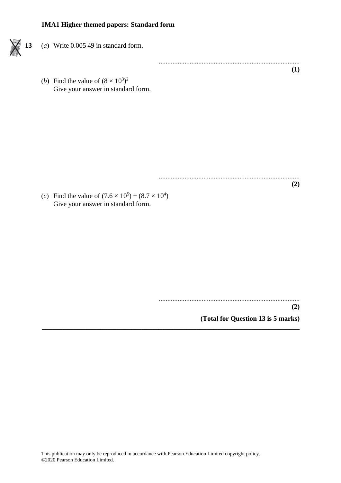# **13** (*a*) Write 0.005 49 in standard form.

.................................................................................. **(1)**

(*b*) Find the value of  $(8 \times 10^3)^2$ Give your answer in standard form.

..................................................................................

(*c*) Find the value of  $(7.6 \times 10^5) + (8.7 \times 10^4)$ Give your answer in standard form.

..................................................................................

**(2)**

**(2)**

**(Total for Question 13 is 5 marks)**

**\_\_\_\_\_\_\_\_\_\_\_\_\_\_\_\_\_\_\_\_\_\_\_\_\_\_\_\_\_\_\_\_\_\_\_\_\_\_\_\_\_\_\_\_\_\_\_\_\_\_\_\_\_\_\_\_\_\_\_\_\_\_\_\_\_\_\_\_\_\_\_\_\_\_\_**